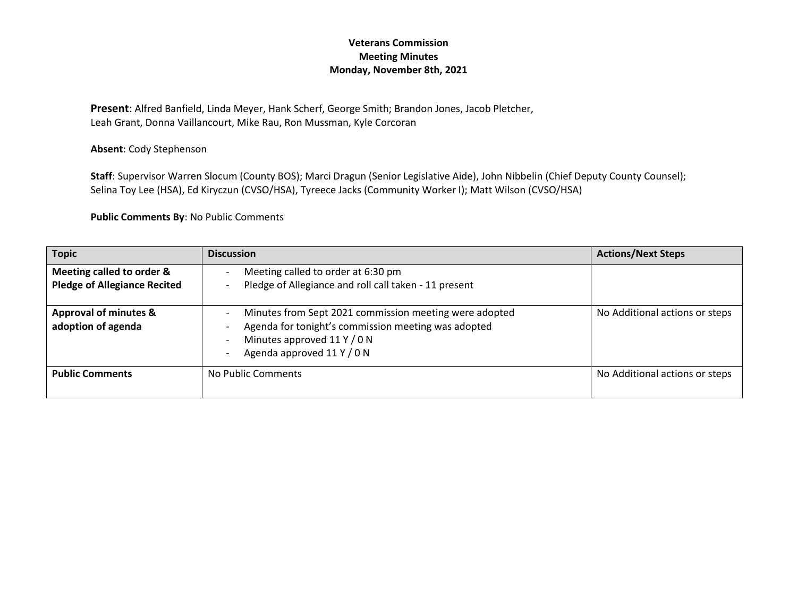## **Veterans Commission Meeting Minutes Monday, November 8th, 2021**

**Present**: Alfred Banfield, Linda Meyer, Hank Scherf, George Smith; Brandon Jones, Jacob Pletcher, Leah Grant, Donna Vaillancourt, Mike Rau, Ron Mussman, Kyle Corcoran

**Absent**: Cody Stephenson

**Staff**: Supervisor Warren Slocum (County BOS); Marci Dragun (Senior Legislative Aide), John Nibbelin (Chief Deputy County Counsel); Selina Toy Lee (HSA), Ed Kiryczun (CVSO/HSA), Tyreece Jacks (Community Worker I); Matt Wilson (CVSO/HSA)

**Public Comments By**: No Public Comments

| <b>Topic</b>                                                     | <b>Discussion</b>                                                                                                                                                          | <b>Actions/Next Steps</b>      |
|------------------------------------------------------------------|----------------------------------------------------------------------------------------------------------------------------------------------------------------------------|--------------------------------|
| Meeting called to order &<br><b>Pledge of Allegiance Recited</b> | Meeting called to order at 6:30 pm<br>Pledge of Allegiance and roll call taken - 11 present                                                                                |                                |
| <b>Approval of minutes &amp;</b><br>adoption of agenda           | Minutes from Sept 2021 commission meeting were adopted<br>Agenda for tonight's commission meeting was adopted<br>Minutes approved 11 Y / 0 N<br>Agenda approved 11 Y / 0 N | No Additional actions or steps |
| <b>Public Comments</b>                                           | No Public Comments                                                                                                                                                         | No Additional actions or steps |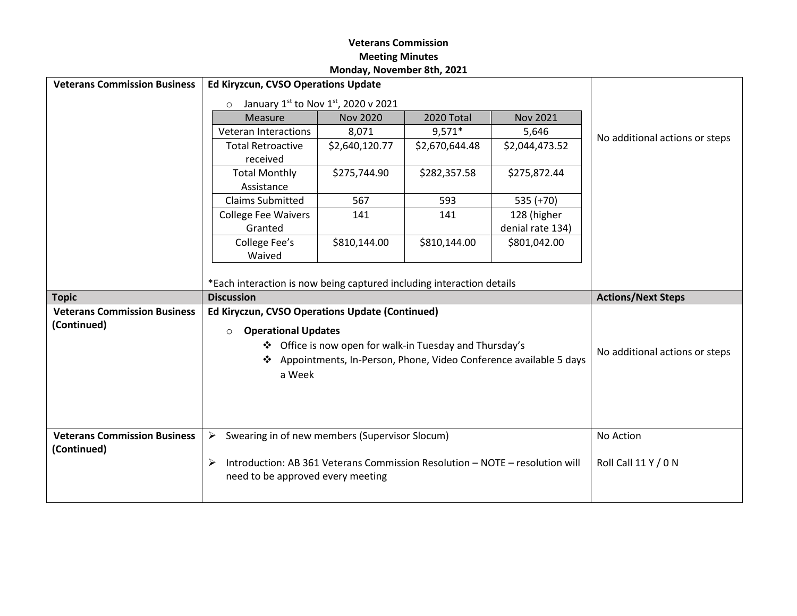## **Veterans Commission Meeting Minutes Monday, November 8th, 2021**

| <b>Veterans Commission Business</b> | Ed Kiryzcun, CVSO Operations Update                                               |                                                         |                |                                                                     |                                |
|-------------------------------------|-----------------------------------------------------------------------------------|---------------------------------------------------------|----------------|---------------------------------------------------------------------|--------------------------------|
|                                     | January 1st to Nov 1st, 2020 v 2021<br>$\circ$                                    |                                                         |                |                                                                     |                                |
|                                     | Measure                                                                           | <b>Nov 2020</b>                                         | 2020 Total     | <b>Nov 2021</b>                                                     |                                |
|                                     | <b>Veteran Interactions</b>                                                       | 8,071                                                   | 9,571*         | 5,646                                                               |                                |
|                                     | <b>Total Retroactive</b><br>received                                              | \$2,640,120.77                                          | \$2,670,644.48 | \$2,044,473.52                                                      | No additional actions or steps |
|                                     | <b>Total Monthly</b><br>Assistance                                                | \$275,744.90                                            | \$282,357.58   | \$275,872.44                                                        |                                |
|                                     | <b>Claims Submitted</b>                                                           | 567                                                     | 593            | $535 (+70)$                                                         |                                |
|                                     | <b>College Fee Waivers</b>                                                        | 141                                                     | 141            | 128 (higher                                                         |                                |
|                                     | Granted                                                                           |                                                         |                | denial rate 134)                                                    |                                |
|                                     | College Fee's                                                                     | \$810,144.00                                            | \$810,144.00   | \$801,042.00                                                        |                                |
|                                     | Waived                                                                            |                                                         |                |                                                                     |                                |
|                                     |                                                                                   |                                                         |                |                                                                     |                                |
|                                     | *Each interaction is now being captured including interaction details             |                                                         |                |                                                                     |                                |
|                                     |                                                                                   |                                                         |                |                                                                     |                                |
| <b>Topic</b>                        | <b>Discussion</b>                                                                 |                                                         |                |                                                                     | <b>Actions/Next Steps</b>      |
| <b>Veterans Commission Business</b> | Ed Kiryczun, CVSO Operations Update (Continued)                                   |                                                         |                |                                                                     |                                |
| (Continued)                         | <b>Operational Updates</b><br>$\circ$                                             |                                                         |                |                                                                     |                                |
|                                     |                                                                                   | ❖ Office is now open for walk-in Tuesday and Thursday's |                |                                                                     |                                |
|                                     |                                                                                   |                                                         |                | ❖ Appointments, In-Person, Phone, Video Conference available 5 days | No additional actions or steps |
|                                     | a Week                                                                            |                                                         |                |                                                                     |                                |
|                                     |                                                                                   |                                                         |                |                                                                     |                                |
|                                     |                                                                                   |                                                         |                |                                                                     |                                |
|                                     |                                                                                   |                                                         |                |                                                                     |                                |
| <b>Veterans Commission Business</b> | Swearing in of new members (Supervisor Slocum)<br>➤                               |                                                         |                |                                                                     | No Action                      |
| (Continued)                         |                                                                                   |                                                         |                |                                                                     |                                |
|                                     | Introduction: AB 361 Veterans Commission Resolution - NOTE - resolution will<br>➤ |                                                         |                |                                                                     | Roll Call 11 Y / 0 N           |
|                                     | need to be approved every meeting                                                 |                                                         |                |                                                                     |                                |